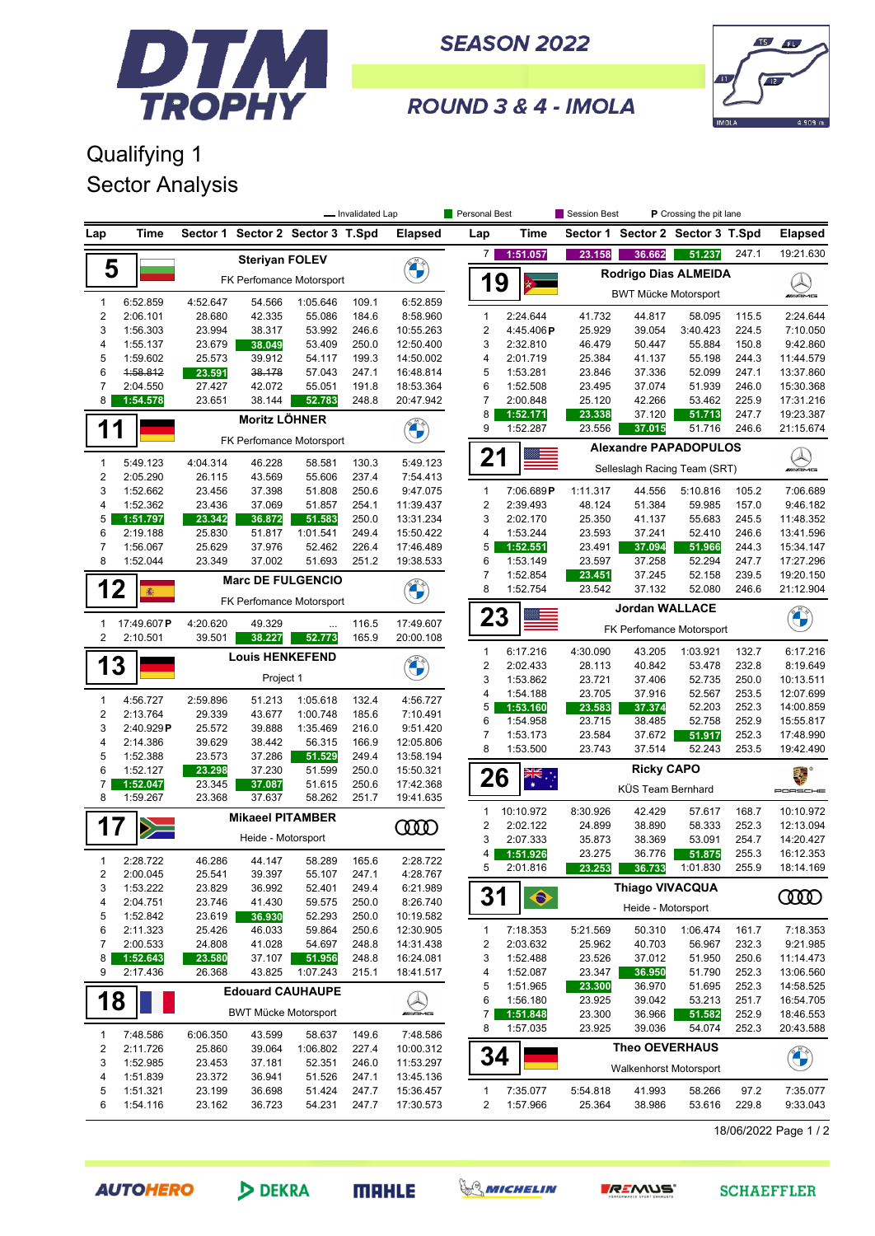

**SEASON 2022** 



ROUND 3 & 4 - IMOLA

## Qualifying 1 Sector Analysis

|                                  |                      | - Invalidated Lap        |                                                                  |                          |                |                        | Personal Best                  |                       | Session Best<br><b>P</b> Crossing the pit lane |                                  |                    |                |                         |
|----------------------------------|----------------------|--------------------------|------------------------------------------------------------------|--------------------------|----------------|------------------------|--------------------------------|-----------------------|------------------------------------------------|----------------------------------|--------------------|----------------|-------------------------|
| Lap                              | Time                 | Sector 1                 |                                                                  | Sector 2 Sector 3 T.Spd  |                | <b>Elapsed</b>         | Lap                            | Time                  |                                                | Sector 1 Sector 2 Sector 3 T.Spd |                    |                | <b>Elapsed</b>          |
|                                  |                      |                          | <b>Steriyan FOLEV</b>                                            |                          |                |                        | 7                              | 1:51.057              | 23.158                                         | 36.662                           | 51.237             | 247.1          | 19:21.630               |
| 5                                |                      |                          |                                                                  | FK Perfomance Motorsport |                |                        | 1                              | 9                     | Rodrigo Dias ALMEIDA                           |                                  |                    |                |                         |
|                                  |                      |                          |                                                                  |                          |                |                        |                                |                       |                                                | <b>BWT Mücke Motorsport</b>      |                    |                | <b>WAME</b>             |
| $\mathbf{1}$<br>$\boldsymbol{2}$ | 6:52.859<br>2:06.101 | 4:52.647<br>28.680       | 54.566<br>42.335                                                 | 1:05.646<br>55.086       | 109.1<br>184.6 | 6:52.859<br>8:58.960   | 1                              | 2:24.644              | 41.732                                         | 44.817                           | 58.095             | 115.5          | 2:24.644                |
| 3                                | 1:56.303             | 23.994                   | 38.317                                                           | 53.992                   | 246.6          | 10:55.263              | $\overline{2}$                 | 4:45.406P             | 25.929                                         | 39.054                           | 3:40.423           | 224.5          | 7:10.050                |
| 4                                | 1:55.137             | 23.679                   | 38.049                                                           | 53.409                   | 250.0          | 12:50.400              | 3                              | 2:32.810              | 46.479                                         | 50.447                           | 55.884             | 150.8          | 9:42.860                |
| 5                                | 1:59.602             | 25.573                   | 39.912                                                           | 54.117                   | 199.3          | 14:50.002              | 4                              | 2:01.719              | 25.384                                         | 41.137                           | 55.198             | 244.3          | 11:44.579               |
| 6                                | 1:58.812             | 23.591                   | 38.178                                                           | 57.043                   | 247.1          | 16:48.814              | 5                              | 1:53.281              | 23.846                                         | 37.336                           | 52.099             | 247.1          | 13:37.860               |
| $\overline{7}$                   | 2:04.550             | 27.427                   | 42.072                                                           | 55.051                   | 191.8          | 18:53.364              | 6                              | 1:52.508              | 23.495                                         | 37.074                           | 51.939             | 246.0          | 15:30.368               |
| 8                                | 1:54.578             | 23.651                   | 38.144                                                           | 52.783                   | 248.8          | 20:47.942              | $\overline{7}$                 | 2:00.848              | 25.120                                         | 42.266                           | 53.462             | 225.9          | 17:31.216               |
|                                  |                      |                          | <b>Moritz LÖHNER</b>                                             |                          |                | <b>CALCIO</b>          | 8                              | 1:52.171              | 23.338                                         | 37.120                           | 51.713             | 247.7          | 19:23.387               |
| $\mathbf 1$                      | 1                    | FK Perfomance Motorsport |                                                                  |                          |                |                        | 9                              | 1:52.287              | 23.556                                         | 246.6                            | 21:15.674          |                |                         |
|                                  |                      |                          |                                                                  |                          |                |                        | 21                             |                       | <b>Alexandre PAPADOPULOS</b>                   |                                  |                    |                |                         |
| $\mathbf{1}$                     | 5:49.123             | 4:04.314                 | 46.228                                                           | 58.581                   | 130.3          | 5:49.123               |                                |                       |                                                | Selleslagh Racing Team (SRT)     |                    |                | <b>WAMG</b>             |
| $\boldsymbol{2}$                 | 2:05.290             | 26.115                   | 43.569                                                           | 55.606                   | 237.4          | 7:54.413               |                                |                       |                                                |                                  |                    |                |                         |
| 3<br>$\overline{4}$              | 1:52.662<br>1:52.362 | 23.456<br>23.436         | 37.398<br>37.069                                                 | 51.808<br>51.857         | 250.6<br>254.1 | 9:47.075<br>11:39.437  | $\mathbf{1}$<br>$\overline{2}$ | 7:06.689P<br>2:39.493 | 1:11.317<br>48.124                             | 44.556<br>51.384                 | 5:10.816<br>59.985 | 105.2<br>157.0 | 7:06.689<br>9:46.182    |
| 5                                | 1:51.797             | 23.342                   | 36.872                                                           | 51.583                   | 250.0          | 13:31.234              | 3                              | 2:02.170              | 25.350                                         | 41.137                           | 55.683             | 245.5          | 11:48.352               |
| 6                                | 2:19.188             | 25.830                   | 51.817                                                           | 1:01.541                 | 249.4          | 15:50.422              | 4                              | 1:53.244              | 23.593                                         | 37.241                           | 52.410             | 246.6          | 13:41.596               |
| $\overline{7}$                   | 1:56.067             | 25.629                   | 37.976                                                           | 52.462                   | 226.4          | 17:46.489              | 5                              | 1:52.551              | 23.491                                         | 37.094                           | 51.966             | 244.3          | 15:34.147               |
| 8                                | 1:52.044             | 23.349                   | 37.002                                                           | 51.693                   | 251.2          | 19:38.533              | 6                              | 1:53.149              | 23.597                                         | 37.258                           | 52.294             | 247.7          | 17:27.296               |
|                                  |                      |                          |                                                                  |                          |                |                        | $\overline{7}$                 | 1:52.854              | 23.451                                         | 37.245                           | 52.158             | 239.5          | 19:20.150               |
| 12                               | 瘉                    |                          |                                                                  | <b>Marc DE FULGENCIO</b> |                |                        | 8                              | 1:52.754              | 23.542                                         | 37.132                           | 52.080             | 246.6          | 21:12.904               |
|                                  |                      |                          |                                                                  | FK Perfomance Motorsport |                |                        |                                |                       |                                                | <b>Jordan WALLACE</b>            |                    |                |                         |
| $\mathbf{1}$                     | 17:49.607P           | 4:20.620                 | 49.329                                                           | $\ddotsc$                | 116.5          | 17:49.607              | 23                             |                       |                                                |                                  |                    |                | <b>CALL OF THE CALL</b> |
| $\overline{2}$                   | 2:10.501             | 39.501                   | 38.227                                                           | 52.773                   | 165.9          | 20:00.108              |                                |                       |                                                | FK Perfomance Motorsport         |                    |                |                         |
|                                  |                      |                          | <b>Louis HENKEFEND</b>                                           |                          |                |                        | $\mathbf{1}$                   | 6:17.216              | 4:30.090                                       | 43.205                           | 1:03.921           | 132.7          | 6:17.216                |
| 1                                | 3                    |                          |                                                                  |                          |                |                        | $\boldsymbol{2}$               | 2:02.433              | 28.113                                         | 40.842                           | 53.478             | 232.8          | 8:19.649                |
|                                  |                      |                          | Project 1                                                        |                          |                |                        | 3                              | 1:53.862              | 23.721                                         | 37.406                           | 52.735             | 250.0          | 10:13.511               |
| $\mathbf{1}$                     | 4:56.727             | 2:59.896                 | 51.213                                                           | 1:05.618                 | 132.4          | 4:56.727               | 4<br>5                         | 1:54.188              | 23.705                                         | 37.916                           | 52.567<br>52.203   | 253.5<br>252.3 | 12:07.699<br>14:00.859  |
| $\boldsymbol{2}$                 | 2:13.764             | 29.339                   | 43.677                                                           | 1:00.748                 | 185.6          | 7:10.491               | 6                              | 1:53.160<br>1:54.958  | 23.583<br>23.715                               | 37.374<br>38.485                 | 52.758             | 252.9          | 15:55.817               |
| 3                                | 2:40.929P            | 25.572                   | 39.888                                                           | 1:35.469                 | 216.0          | 9:51.420               | $\overline{7}$                 | 1:53.173              | 23.584                                         | 37.672                           | 51.917             | 252.3          | 17:48.990               |
| 4                                | 2:14.386             | 39.629                   | 38.442                                                           | 56.315                   | 166.9          | 12:05.806              | 8                              | 1:53.500              | 23.743                                         | 37.514                           | 52.243             | 253.5          | 19:42.490               |
| 5                                | 1:52.388             | 23.573                   | 37.286                                                           | 51.529                   | 249.4          | 13:58.194              |                                |                       |                                                |                                  |                    |                |                         |
| 6                                | 1:52.127             | 23.298                   | 37.230                                                           | 51.599                   | 250.0          | 15:50.321              | 26                             | ैं.*                  |                                                | <b>Ricky CAPO</b>                |                    |                | 橐                       |
| $\overline{7}$<br>8              | 1:52.047<br>1:59.267 | 23.368                   | 23.345<br>37.087<br>51.615<br>250.6<br>37.637<br>58.262<br>251.7 |                          |                | 17:42.368<br>19:41.635 |                                |                       | KÜS Team Bernhard                              |                                  |                    |                | PORSCHE                 |
|                                  |                      |                          | <b>Mikaeel PITAMBER</b>                                          |                          |                |                        | 1                              | 10:10.972             | 8:30.926                                       | 42.429                           | 57.617             | 168.7          | 10:10.972               |
| 17                               |                      |                          |                                                                  |                          |                | <b>COOD</b>            | $\overline{c}$                 | 2:02.122              | 24.899                                         | 38.890                           | 58.333             | 252.3          | 12:13.094               |
|                                  |                      |                          | Heide - Motorsport                                               |                          |                |                        | 3                              | 2:07.333              | 35.873                                         | 38.369                           | 53.091             | 254.7          | 14:20.427               |
| $\mathbf{1}$                     | 2:28.722             | 46.286                   | 44.147                                                           | 58.289                   | 165.6          | 2:28.722               | 4                              | 1:51.926              | 23.275                                         | 36.776                           | 51.875             | 255.3          | 16:12.353               |
| 2                                | 2:00.045             | 25.541                   | 39.397                                                           | 55.107                   | 247.1          | 4:28.767               | 5                              | 2:01.816              | 23.253                                         | 36.733                           | 1:01.830           | 255.9          | 18:14.169               |
| 3                                | 1:53.222             | 23.829                   | 36.992                                                           | 52.401                   | 249.4          | 6:21.989               |                                |                       |                                                | <b>Thiago VIVACQUA</b>           |                    |                |                         |
| 4                                | 2:04.751             | 23.746                   | 41.430                                                           | 59.575                   | 250.0          | 8:26.740               | 31                             | $\bullet$             |                                                |                                  |                    |                | ŒŒ                      |
| 5                                | 1:52.842             | 23.619                   | 36.930                                                           | 52.293                   | 250.0          | 10:19.582              |                                |                       |                                                | Heide - Motorsport               |                    |                |                         |
| 6                                | 2:11.323             | 25.426                   | 46.033                                                           | 59.864                   | 250.6          | 12:30.905              | $\mathbf{1}$                   | 7:18.353              | 5:21.569                                       | 50.310                           | 1:06.474           | 161.7          | 7:18.353                |
| 7                                | 2:00.533             | 24.808                   | 41.028                                                           | 54.697                   | 248.8          | 14:31.438              | 2                              | 2:03.632              | 25.962                                         | 40.703                           | 56.967             | 232.3          | 9:21.985                |
| 8                                | 1:52.643             | 23.580                   | 37.107                                                           | 51.956                   | 248.8          | 16:24.081              | 3                              | 1:52.488              | 23.526                                         | 37.012                           | 51.950             | 250.6          | 11:14.473               |
| 9                                | 2:17.436             | 26.368                   | 43.825                                                           | 1:07.243                 | 215.1          | 18:41.517              | 4                              | 1:52.087              | 23.347                                         | 36.950                           | 51.790             | 252.3          | 13:06.560               |
|                                  |                      |                          |                                                                  | <b>Edouard CAUHAUPE</b>  |                |                        | 5                              | 1:51.965              | 23.300                                         | 36.970                           | 51.695             | 252.3          | 14:58.525               |
| 18                               |                      |                          |                                                                  |                          |                |                        | 6                              | 1:56.180              | 23.925                                         | 39.042                           | 53.213             | 251.7          | 16:54.705               |
|                                  |                      |                          | <b>BWT Mücke Motorsport</b>                                      |                          |                | WAMG                   | 7                              | 1:51.848              | 23.300                                         | 36.966                           | 51.582             | 252.9          | 18:46.553               |
| $\mathbf{1}$                     | 7:48.586             | 6:06.350                 | 43.599                                                           | 58.637                   | 149.6          | 7:48.586               | 8                              | 1:57.035              | 23.925                                         | 39.036                           | 54.074             | 252.3          | 20:43.588               |
| 2                                | 2:11.726             | 25.860                   | 39.064                                                           | 1:06.802                 | 227.4          | 10:00.312              |                                |                       |                                                | <b>Theo OEVERHAUS</b>            |                    |                |                         |
| 3                                | 1:52.985             | 23.453                   | 37.181                                                           | 52.351                   | 246.0          | 11:53.297              | 34                             |                       |                                                | <b>Walkenhorst Motorsport</b>    |                    |                | <b>CALCIO</b>           |
| 4                                | 1:51.839             | 23.372                   | 36.941                                                           | 51.526                   | 247.1          | 13:45.136              |                                |                       |                                                |                                  |                    |                |                         |
| 5                                | 1:51.321             | 23.199                   | 36.698                                                           | 51.424                   | 247.7          | 15:36.457              | 1                              | 7:35.077              | 5:54.818                                       | 41.993                           | 58.266             | 97.2           | 7:35.077                |
| 6                                | 1:54.116             | 23.162                   | 36.723                                                           | 54.231                   | 247.7          | 17:30.573              | 2                              | 1:57.966              | 25.364                                         | 38.986                           | 53.616             | 229.8          | 9:33.043                |

18/06/2022 Page 1 / 2

**AUTOHERO** 

DEKRA

**MRHLE**